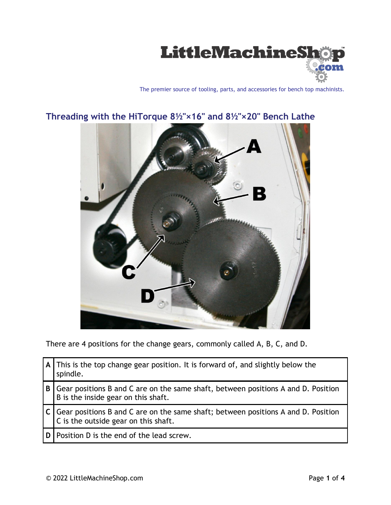

The premier source of tooling, parts, and accessories for bench top machinists.



## **Threading with the HiTorque 8½"×16" and 8½"×20" Bench Lathe**

There are 4 positions for the change gears, commonly called A, B, C, and D.

|     | A This is the top change gear position. It is forward of, and slightly below the<br>spindle.                              |
|-----|---------------------------------------------------------------------------------------------------------------------------|
| B   | Gear positions B and C are on the same shaft, between positions A and D. Position<br>B is the inside gear on this shaft.  |
|     | Gear positions B and C are on the same shaft; between positions A and D. Position<br>C is the outside gear on this shaft. |
| ıD. | Position D is the end of the lead screw.                                                                                  |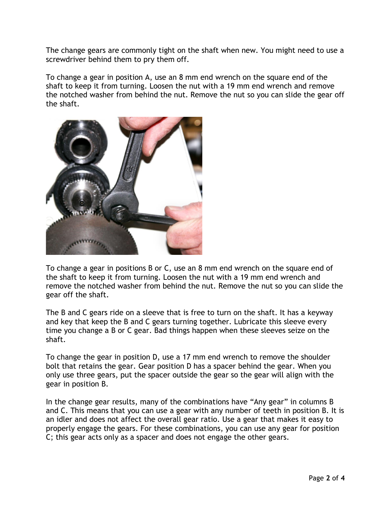The change gears are commonly tight on the shaft when new. You might need to use a screwdriver behind them to pry them off.

To change a gear in position A, use an 8 mm end wrench on the square end of the shaft to keep it from turning. Loosen the nut with a 19 mm end wrench and remove the notched washer from behind the nut. Remove the nut so you can slide the gear off the shaft.



To change a gear in positions B or C, use an 8 mm end wrench on the square end of the shaft to keep it from turning. Loosen the nut with a 19 mm end wrench and remove the notched washer from behind the nut. Remove the nut so you can slide the gear off the shaft.

The B and C gears ride on a sleeve that is free to turn on the shaft. It has a keyway and key that keep the B and C gears turning together. Lubricate this sleeve every time you change a B or C gear. Bad things happen when these sleeves seize on the shaft.

To change the gear in position D, use a 17 mm end wrench to remove the shoulder bolt that retains the gear. Gear position D has a spacer behind the gear. When you only use three gears, put the spacer outside the gear so the gear will align with the gear in position B.

In the change gear results, many of the combinations have "Any gear" in columns B and C. This means that you can use a gear with any number of teeth in position B. It is an idler and does not affect the overall gear ratio. Use a gear that makes it easy to properly engage the gears. For these combinations, you can use any gear for position C; this gear acts only as a spacer and does not engage the other gears.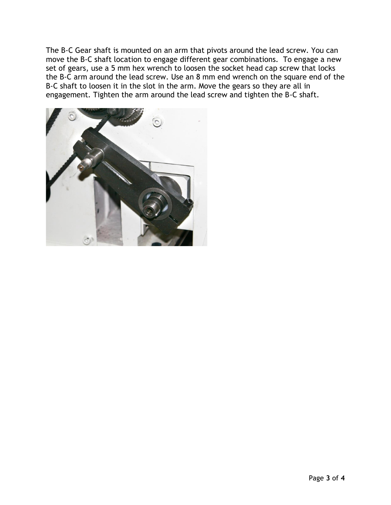The B-C Gear shaft is mounted on an arm that pivots around the lead screw. You can move the B-C shaft location to engage different gear combinations. To engage a new set of gears, use a 5 mm hex wrench to loosen the socket head cap screw that locks the B-C arm around the lead screw. Use an 8 mm end wrench on the square end of the B-C shaft to loosen it in the slot in the arm. Move the gears so they are all in engagement. Tighten the arm around the lead screw and tighten the B-C shaft.